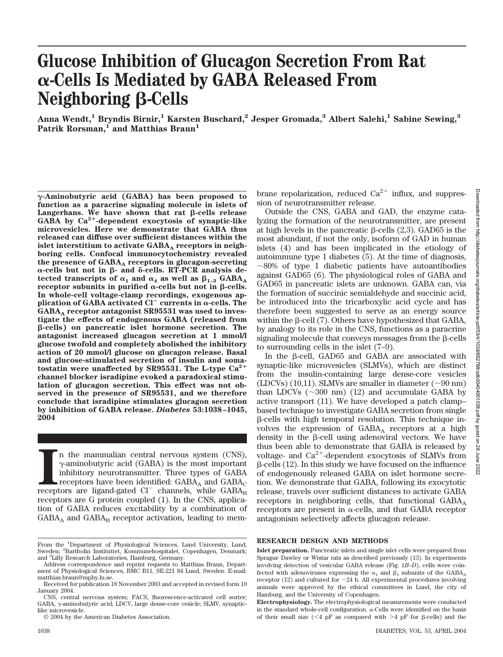# **Glucose Inhibition of Glucagon Secretion From Rat -Cells Is Mediated by GABA Released From Neighboring** β-Cells

**Anna Wendt,1 Bryndis Birnir,1 Karsten Buschard,2 Jesper Gromada,3 Albert Salehi,1 Sabine Sewing,3** Patrik Rorsman,<sup>1</sup> and Matthias Braun<sup>1</sup>

**-Aminobutyric acid (GABA) has been proposed to function as a paracrine signaling molecule in islets of**  $L$ angerhans. We have shown that rat  $\beta$ -cells release **GABA by Ca2-dependent exocytosis of synaptic-like microvesicles. Here we demonstrate that GABA thus released can diffuse over sufficient distances within the** islet interstitium to activate GABA<sub>A</sub> receptors in neigh**boring cells. Confocal immunocytochemistry revealed** the presence of GABA<sub>A</sub> receptors in glucagon-secreting  $\alpha$ -cells but not in  $\beta$ - and  $\delta$ -cells. RT-PCR analysis detected transcripts of  $\alpha_1$  and  $\alpha_4$  as well as  $\beta_{1-3}$  GABA<sub>A</sub>  $r$  receptor subunits in purified  $\alpha$ -cells but not in  $\beta$ -cells. **In whole-cell voltage-clamp recordings, exogenous application of GABA activated Cl<sup>** $-$ **</sup> currents in**  $\alpha$ **-cells. The** GABA<sub>A</sub> receptor antagonist SR95531 was used to inves**tigate the effects of endogenous GABA (released from** -**-cells) on pancreatic islet hormone secretion. The antagonist increased glucagon secretion at 1 mmol/l glucose twofold and completely abolished the inhibitory action of 20 mmol/l glucose on glucagon release. Basal and glucose-stimulated secretion of insulin and soma**tostatin were unaffected by SR95531. The L-type  $Ca^{2+}$ **channel blocker isradipine evoked a paradoxical stimulation of glucagon secretion. This effect was not observed in the presence of SR95531, and we therefore conclude that isradipine stimulates glucagon secretion by inhibition of GABA release.** *Diabetes* **53:1038–1045, 2004**

receptors are ligand-gated Cl $^{\rm c}$  channels, while GABA receptors are ligand-gated Cl $^{\rm c}$  channels, while GABA receptors are ligand-gated Cl $^{\rm c}$  channels, while GABA receptors are ligand-gated Cl $^{\rm c}$  channels, n the mammalian central nervous system (CNS),  $\gamma$ -aminobutyric acid (GABA) is the most important inhibitory neurotransmitter. Three types of GABA receptors have been identified:  $GABA_A$  and  $GABA_C$ receptors are G protein coupled (1). In the CNS, application of GABA reduces excitability by a combination of  $GABA_A$  and  $GABA_B$  receptor activation, leading to membrane repolarization, reduced  $Ca^{2+}$  influx, and suppression of neurotransmitter release.

Outside the CNS, GABA and GAD, the enzyme catalyzing the formation of the neurotransmitter, are present at high levels in the pancreatic  $\beta$ -cells (2,3). GAD65 is the most abundant, if not the only, isoform of GAD in human islets (4) and has been implicated in the etiology of autoimmune type 1 diabetes (5). At the time of diagnosis,  $\sim$ 80% of type 1 diabetic patients have autoantibodies against GAD65 (6). The physiological roles of GABA and GAD65 in pancreatic islets are unknown. GABA can, via the formation of succinic semialdehyde and succinic acid, be introduced into the tricarboxylic acid cycle and has therefore been suggested to serve as an energy source within the  $\beta$ -cell (7). Others have hypothesized that GABA, by analogy to its role in the CNS, functions as a paracrine signaling molecule that conveys messages from the  $\beta$ -cells to surrounding cells in the islet (7–9).

In the B-cell, GAD65 and GABA are associated with synaptic-like microvesicles (SLMVs), which are distinct from the insulin-containing large dense-core vesicles (LDCVs) (10,11). SLMVs are smaller in diameter  $(\sim 90 \text{ nm})$ than LDCVs  $(\sim 300 \text{ nm})$  (12) and accumulate GABA by active transport (11). We have developed a patch clamp– based technique to investigate GABA secretion from single  $\beta$ -cells with high temporal resolution. This technique involves the expression of  $GABA_A$  receptors at a high density in the  $\beta$ -cell using adenoviral vectors. We have thus been able to demonstrate that GABA is released by voltage- and  $Ca^{2+}$ -dependent exocytosis of SLMVs from  $\beta$ -cells (12). In this study we have focused on the influence of endogenously released GABA on islet hormone secretion. We demonstrate that GABA, following its exocytotic release, travels over sufficient distances to activate GABA receptors in neighboring cells, that functional  $GABA_A$ receptors are present in  $\alpha$ -cells, and that GABA receptor antagonism selectively affects glucagon release.

# **RESEARCH DESIGN AND METHODS**

From the <sup>1</sup>Department of Physiological Sciences, Lund University, Lund, Sweden; <sup>2</sup>Bartholin Instituttet, Kommunehospitalet, Copenhagen, Denmark; and <sup>3</sup> Lilly Research Laboratories, Hamburg, Germany.

Address correspondence and reprint requests to Matthias Braun, Department of Physiological Sciences, BMC B11, SE-221 84 Lund, Sweden. E-mail: matthias.braun@mphy.lu.se.

Received for publication 18 November 2003 and accepted in revised form 19 January 2004.

CNS, central nervous system; FACS, fluorescence-activated cell sorter; GABA,  $\gamma$ -aminobutyric acid; LDCV, large dense-core vesicle; SLMV, synapticlike microvesicle.

<sup>© 2004</sup> by the American Diabetes Association.

**Islet preparation.** Pancreatic islets and single islet cells were prepared from Sprague Dawley or Wistar rats as described previously (13). In experiments involving detection of vesicular GABA release (Fig. 1*B*–*D*), cells were coinfected with adenoviruses expressing the  $\alpha_1$  and  $\beta_1$  subunits of the GABA<sub>A</sub> receptor (12) and cultured for  $\sim$ 24 h. All experimental procedures involving animals were approved by the ethical committees in Lund, the city of Hamburg, and the University of Copenhagen.

**Electrophysiology.** The electrophysiological measurements were conducted in the standard whole-cell configuration.  $\alpha$ -Cells were identified on the basis of their small size (<4 pF as compared with >4 pF for  $\beta$ -cells) and the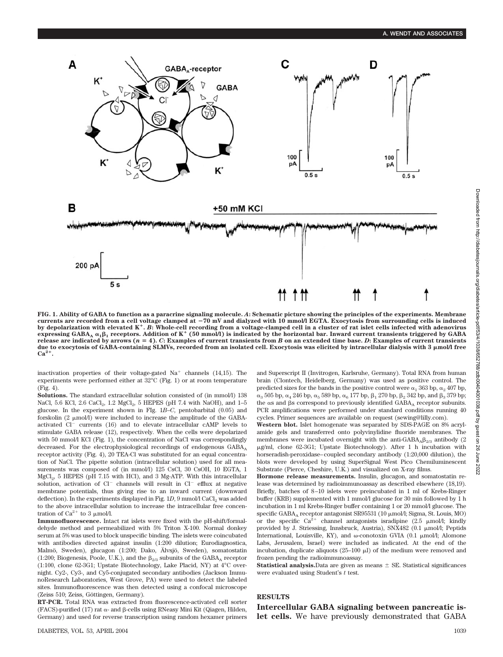

**FIG. 1. Ability of GABA to function as a paracrine signaling molecule.** *A***: Schematic picture showing the principles of the experiments. Membrane** currents are recorded from a cell voltage clamped at –70 mV and dialyzed with 10 mmol/l EGTA. Exocytosis from surrounding cells is induced<br>by depolarization with elevated K\*. B: Whole-cell recording from a voltage-clamped  $\epsilon$ xpressing GABA<sub>A</sub>  $\alpha_1\beta_1$  receptors. Addition of K<sup>+</sup> (50 mmol/l) is indicated by the horizontal bar. Inward current transients triggered by GABA release are indicated by arrows  $(n = 4)$ .  $C$ **:** Examples of current transients from  $B$  on an extended time base.  $D$ **:** Examples of current transients **due to exocytosis of GABA-containing SLMVs, recorded from an isolated cell. Exocytosis was elicited by intracellular dialysis with 3 mol/l free Ca2.**

inactivation properties of their voltage-gated  $Na<sup>+</sup>$  channels (14,15). The experiments were performed either at 32°C (Fig. 1) or at room temperature (Fig. 4).

Solutions. The standard extracellular solution consisted of (in mmol/l) 138 NaCl, 5.6 KCl, 2.6 CaCl<sub>2</sub>, 1.2 MgCl<sub>2</sub>, 5 HEPES (pH 7.4 with NaOH), and 1-5 glucose. In the experiment shown in FIg. 1*B*–*C*, pentobarbital (0.05) and forskolin  $(2 \mu \text{mol/l})$  were included to increase the amplitude of the GABAactivated Cl<sup>-</sup> currents (16) and to elevate intracellular cAMP levels to stimulate GABA release (12), respectively. When the cells were depolarized with 50 mmol/l KCl (Fig. 1), the concentration of NaCl was correspondingly decreased. For the electrophysiological recordings of endogenous GABA, receptor activity (Fig. 4), 20 TEA-Cl was substituted for an equal concentration of NaCl. The pipette solution (intracellular solution) used for all measurements was composed of (in mmol/l) 125 CsCl, 30 CsOH, 10 EGTA, 1 MgCl<sub>2</sub>, 5 HEPES (pH 7.15 with HCl), and 3 Mg-ATP. With this intracellular solution, activation of Cl<sup>-</sup> channels will result in Cl<sup>-</sup> efflux at negative membrane potentials, thus giving rise to an inward current (downward deflection). In the experiments displayed in Fig.  $1D$ , 9 mmol/l CaCl<sub>2</sub> was added to the above intracellular solution to increase the intracellular free concentration of  $Ca^{2+}$  to 3  $\mu$ mol/l.

**Immunofluorescence.** Intact rat islets were fixed with the pH-shift/formaldehyde method and permeabilized with 5% Triton X-100. Normal donkey serum at 5% was used to block unspecific binding. The islets were coincubated with antibodies directed against insulin (1:200 dilution; Eurodiagnostica, Malmö, Sweden), glucagon (1:200; Dako, Älvsjö, Sweden), somatostatin (1:200; Biogenesis, Poole, U.K.), and the  $\beta_{2/3}$  subunits of the GABA<sub>A</sub> receptor (1:100, clone 62-3G1; Upstate Biotechnology, Lake Placid, NY) at 4°C overnight. Cy2-, Cy3-, and Cy5-conjugated secondary antibodies (Jackson ImmunoResearch Laboratories, West Grove, PA) were used to detect the labeled sites. Immunofluorescence was then detected using a confocal microscope (Zeiss 510; Zeiss, Göttingen, Germany).

**RT-PCR.** Total RNA was extracted from fluorescence-activated cell sorter  $(FACS)$ -purified (17) rat  $\alpha$ - and  $\beta$ -cells using RNeasy Mini Kit (Qiagen, Hilden, Germany) and used for reverse transcription using random hexamer primers and Superscript II (Invitrogen, Karlsruhe, Germany). Total RNA from human brain (Clontech, Heidelberg, Germany) was used as positive control. The predicted sizes for the bands in the positive control were  $\alpha_1$  363 bp,  $\alpha_2$  407 bp,  $\alpha_3$  505 bp,  $\alpha_4$  246 bp,  $\alpha_5$  589 bp,  $\alpha_6$  177 bp,  $\beta_1$  270 bp,  $\beta_2$  342 bp, and  $\beta_3$  379 bp; the  $\alpha$ s and  $\beta$ s correspond to previously identified GABA<sub>A</sub> receptor subunits. PCR amplifications were performed under standard conditions running 40 cycles. Primer sequences are available on request (sewing@lilly.com).

**Western blot.** Islet homogenate was separated by SDS-PAGE on 8% acrylamide gels and transferred onto polyvinylidine fluoride membranes. The membranes were incubated overnight with the anti-GABA<sub>A</sub> $\beta_{2/3}$  antibody (2) g/ml, clone 62-3G1; Upstate Biotechnology). After 1 h incubation with horseradish-peroxidase–coupled secondary antibody (1:20,000 dilution), the blots were developed by using SuperSignal West Pico Chemiluminescent Substrate (Pierce, Cheshire, U.K.) and visualized on X-ray films.

**Hormone release measurements.** Insulin, glucagon, and somatostatin release was determined by radioimmunoassay as described elsewhere (18,19). Briefly, batches of 8–10 islets were preincubated in 1 ml of Krebs-Ringer buffer (KRB) supplemented with 1 mmol/l glucose for 30 min followed by 1 h incubation in 1 ml Krebs-Ringer buffer containing 1 or 20 mmol/l glucose. The specific GABA<sub>A</sub> receptor antagonist SR95531 (10 μmol/l; Sigma, St. Louis, MO) or the specific  $Ca^{2+}$  channel antagonists isradipine (2.5  $\mu$ mol/l; kindly provided by J. Striessing, Innsbruck, Austria), SNX482 (0.1 µmol/l; Peptids International, Louisville, KY), and ω-conotoxin GVIA (0.1 μmol/l; Alomone Labs, Jerusalem, Israel) were included as indicated. At the end of the incubation, duplicate aliquots  $(25-100 \mu l)$  of the medium were removed and frozen pending the radioimmunoassay.

**Statistical analysis.**Data are given as means  $\pm$  SE. Statistical significances were evaluated using Student's *t* test.

# **RESULTS**

**Intercellular GABA signaling between pancreatic islet cells.** We have previously demonstrated that GABA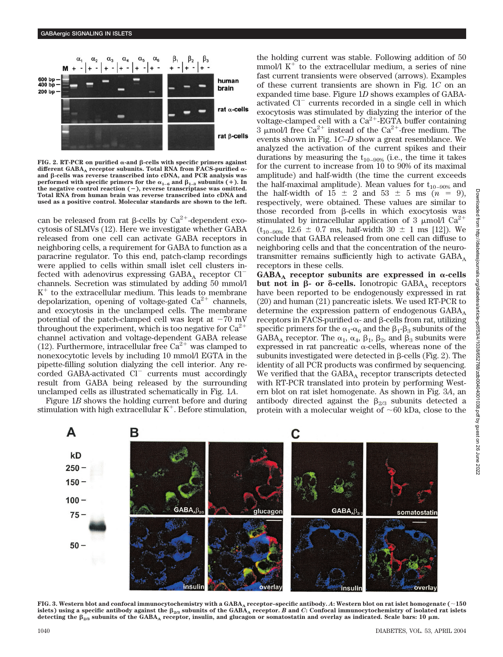

 $FIG. 2. RT-PCR$  on purified  $\alpha$ -and  $\beta$ -cells with specific primers against different GABA<sub>A</sub> receptor subunits. Total RNA from FACS-purified  $\alpha$ and  $\beta$ -cells was reverse transcribed into cDNA, and PCR analysis was **performed with specific primers for the**  $\alpha_{1-6}$  **and**  $\beta_{1-3}$  **subunits (+). In the negative control reaction (), reverse transcriptase was omitted. Total RNA from human brain was reverse transcribed into cDNA and used as a positive control. Molecular standards are shown to the left.**

can be released from rat  $\beta$ -cells by Ca<sup>2+</sup>-dependent exocytosis of SLMVs (12). Here we investigate whether GABA released from one cell can activate GABA receptors in neighboring cells, a requirement for GABA to function as a paracrine regulator. To this end, patch-clamp recordings were applied to cells within small islet cell clusters infected with adenovirus expressing  $GABA_A$  receptor  $Cl^$ channels. Secretion was stimulated by adding 50 mmol/l  $K<sup>+</sup>$  to the extracellular medium. This leads to membrane depolarization, opening of voltage-gated  $Ca^{2+}$  channels, and exocytosis in the unclamped cells. The membrane potential of the patch-clamped cell was kept at  $-70$  mV throughout the experiment, which is too negative for  $Ca^{2+}$ channel activation and voltage-dependent GABA release (12). Furthermore, intracellular free  $Ca^{2+}$  was clamped to nonexocytotic levels by including 10 mmol/l EGTA in the pipette-filling solution dialyzing the cell interior. Any recorded GABA-activated Cl<sup>-</sup> currents must accordingly result from GABA being released by the surrounding unclamped cells as illustrated schematically in Fig. 1*A*.

Figure 1*B* shows the holding current before and during stimulation with high extracellular  $K^+$ . Before stimulation, the holding current was stable. Following addition of 50 mmol/l  $K^+$  to the extracellular medium, a series of nine fast current transients were observed (arrows). Examples of these current transients are shown in Fig. 1*C* on an expanded time base. Figure 1*D* shows examples of GABAactivated Cl<sup>-</sup> currents recorded in a single cell in which exocytosis was stimulated by dialyzing the interior of the voltage-clamped cell with a  $Ca^{2+}$ -EGTA buffer containing 3 µmol/l free Ca<sup>2+</sup> instead of the Ca<sup>2+</sup>-free medium. The events shown in Fig. 1*C*–*D* show a great resemblance. We analyzed the activation of the current spikes and their durations by measuring the  $t_{10-90\%}$  (i.e., the time it takes for the current to increase from 10 to 90% of its maximal amplitude) and half-width (the time the current exceeds the half-maximal amplitude). Mean values for  $t_{10-90\%}$  and the half-width of  $15 \pm 2$  and  $53 \pm 5$  ms  $(n = 9)$ , respectively, were obtained. These values are similar to those recorded from  $\beta$ -cells in which exocytosis was stimulated by intracellular application of 3  $\mu$ mol/l Ca<sup>2+</sup>  $(t_{10-90\%}$  12.6  $\pm$  0.7 ms, half-width 30  $\pm$  1 ms [12]). We conclude that GABA released from one cell can diffuse to neighboring cells and that the concentration of the neurotransmitter remains sufficiently high to activate  $GABA_A$ receptors in these cells.

 $GABA_A$  receptor subunits are expressed in  $\alpha$ -cells **but not in β- or δ-cells.** Ionotropic GABA<sub>A</sub> receptors have been reported to be endogenously expressed in rat (20) and human (21) pancreatic islets. We used RT-PCR to determine the expression pattern of endogenous  $GABA_A$ receptors in FACS-purified  $\alpha$ - and  $\beta$ -cells from rat, utilizing specific primers for the  $\alpha_1$ - $\alpha_6$  and the  $\beta_1$ - $\beta_3$  subunits of the GABA<sub>A</sub> receptor. The  $\alpha_1$ ,  $\alpha_4$ ,  $\beta_1$ ,  $\beta_2$ , and  $\beta_3$  subunits were expressed in rat pancreatic  $\alpha$ -cells, whereas none of the subunits investigated were detected in  $\beta$ -cells (Fig. 2). The identity of all PCR products was confirmed by sequencing. We verified that the  $GABA_A$  receptor transcripts detected with RT-PCR translated into protein by performing Western blot on rat islet homogenate. As shown in Fig. 3*A*, an antibody directed against the  $\beta_{2/3}$  subunits detected a protein with a molecular weight of  $\sim 60$  kDa, close to the



**FIG. 3. Western blot and confocal immunocytochemistry with a GABAA receptor–specific antibody.** *A***: Western blot on rat islet homogenate (150** islets) using a specific antibody against the  $\beta_{2/3}$  subunits of the  $\rm{GABA}_A$  receptor.  $B$  and  $C$ : Confocal immunocytochemistry of isolated rat islets detecting the  $\beta_{2/3}$  subunits of the GABA<sub>A</sub> receptor, insulin, and glucagon or somatostatin and overlay as indicated. Scale bars: 10  $\mu$ m.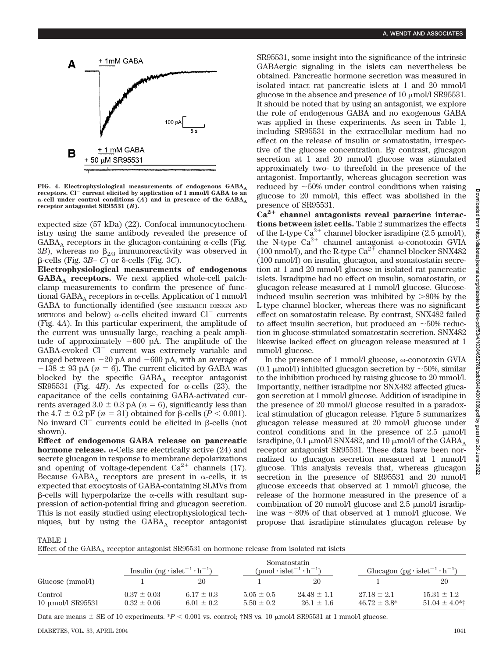

FIG. 4. Electrophysiological measurements of endogenous GABA<sub>A</sub> receptors. Cl<sup>-</sup> current elicited by application of 1 mmol/l GABA to an  $\alpha$ -cell under control conditions  $(\widehat{A})$  and in presence of the GABA<sub>A</sub> **receptor antagonist SR95531 (***B***).**

expected size (57 kDa) (22). Confocal immunocytochemistry using the same antibody revealed the presence of  $GABA_A$  receptors in the glucagon-containing  $\alpha$ -cells (Fig. 3*B*), whereas no  $\beta_{2/3}$  immunoreactivity was observed in  $\beta$ -cells (Fig. 3*B*– *C*) or  $\delta$ -cells (Fig. 3*C*).

**Electrophysiological measurements of endogenous GABAA receptors.** We next applied whole-cell patchclamp measurements to confirm the presence of functional GABA<sub>A</sub> receptors in  $\alpha$ -cells. Application of 1 mmol/l GABA to functionally identified (see RESEARCH DESIGN AND METHODS and below)  $\alpha$ -cells elicited inward Cl<sup>-</sup> currents (Fig. 4*A*). In this particular experiment, the amplitude of the current was unusually large, reaching a peak amplitude of approximately  $-600$  pA. The amplitude of the GABA-evoked Cl<sup>-</sup> current was extremely variable and ranged between -20 pA and -600 pA, with an average of  $-138 \pm 93$  pA ( $n = 6$ ). The current elicited by GABA was blocked by the specific  $GABA_A$  receptor antagonist SR95531 (Fig. 4*B*). As expected for  $\alpha$ -cells (23), the capacitance of the cells containing GABA-activated currents averaged  $3.0 \pm 0.3$  pA ( $n = 6$ ), significantly less than the 4.7  $\pm$  0.2 pF (*n* = 31) obtained for  $\beta$ -cells (*P* < 0.001). No inward  $\overline{Cl}^-$  currents could be elicited in  $\beta$ -cells (not shown).

**Effect of endogenous GABA release on pancreatic hormone release.**  $\alpha$ -Cells are electrically active (24) and secrete glucagon in response to membrane depolarizations and opening of voltage-dependent  $Ca^{2+}$  channels (17). Because GABA<sub>A</sub> receptors are present in  $\alpha$ -cells, it is expected that exocytosis of GABA-containing SLMVs from  $\beta$ -cells will hyperpolarize the  $\alpha$ -cells with resultant suppression of action-potential firing and glucagon secretion. This is not easily studied using electrophysiological techniques, but by using the  $GABA_A$  receptor antagonist SR95531, some insight into the significance of the intrinsic GABAergic signaling in the islets can nevertheless be obtained. Pancreatic hormone secretion was measured in isolated intact rat pancreatic islets at 1 and 20 mmol/l glucose in the absence and presence of 10  $\mu$ mol/l SR95531. It should be noted that by using an antagonist, we explore the role of endogenous GABA and no exogenous GABA was applied in these experiments. As seen in Table 1, including SR95531 in the extracellular medium had no effect on the release of insulin or somatostatin, irrespective of the glucose concentration. By contrast, glucagon secretion at 1 and 20 mmol/l glucose was stimulated approximately two- to threefold in the presence of the antagonist. Importantly, whereas glucagon secretion was reduced by  $\sim$  50% under control conditions when raising glucose to 20 mmol/l, this effect was abolished in the presence of SR95531.

Ca<sup>2+</sup> channel antagonists reveal paracrine interac**tions between islet cells.** Table 2 summarizes the effects of the L-type Ca<sup>2+</sup> channel blocker isradipine (2.5  $\mu$ mol/l), the N-type  $Ca^{2+}$  channel antagonist  $\omega$ -conotoxin GVIA (100 nmol/l), and the R-type  $Ca^{2+}$  channel blocker SNX482 (100 nmol/l) on insulin, glucagon, and somatostatin secretion at 1 and 20 mmol/l glucose in isolated rat pancreatic islets. Isradipine had no effect on insulin, somatostatin, or glucagon release measured at 1 mmol/l glucose. Glucoseinduced insulin secretion was inhibited by  $>80\%$  by the L-type channel blocker, whereas there was no significant effect on somatostatin release. By contrast, SNX482 failed to affect insulin secretion, but produced an  $\sim$  50% reduction in glucose-stimulated somatostatin secretion. SNX482 likewise lacked effect on glucagon release measured at 1 mmol/l glucose.

In the presence of 1 mmol/l glucose, ω-conotoxin GVIA (0.1  $\mu$ mol/l) inhibited glucagon secretion by  $\sim$ 50%, similar to the inhibition produced by raising glucose to 20 mmol/l. Importantly, neither isradipine nor SNX482 affected glucagon secretion at 1 mmol/l glucose. Addition of isradipine in the presence of 20 mmol/l glucose resulted in a paradoxical stimulation of glucagon release. Figure 5 summarizes glucagon release measured at 20 mmol/l glucose under control conditions and in the presence of  $2.5 \mu m o l/l$ isradipine, 0.1  $\mu$ mol/l SNX482, and 10  $\mu$ mol/l of the GABA<sub>A</sub> receptor antagonist SR95531. These data have been normalized to glucagon secretion measured at 1 mmol/l glucose. This analysis reveals that, whereas glucagon secretion in the presence of SR95531 and 20 mmol/l glucose exceeds that observed at 1 mmol/l glucose, the release of the hormone measured in the presence of a combination of 20 mmol/l glucose and 2.5  $\mu$ mol/l isradipine was  $\sim 80\%$  of that observed at 1 mmol/l glucose. We propose that isradipine stimulates glucagon release by

TABLE 1

Effect of the  $GABA_A$  receptor antagonist  $SR95531$  on hormone release from isolated rat islets

|                                   | Insulin $(ng \cdot islet^{-1} \cdot h^{-1})$ |                                  | Somatostatin<br>$(pmol \cdot islet^{-1} \cdot h^{-1})$ |                                   | Glucagon (pg·islet <sup>-1</sup> ·h <sup>-1</sup> ) |                                       |
|-----------------------------------|----------------------------------------------|----------------------------------|--------------------------------------------------------|-----------------------------------|-----------------------------------------------------|---------------------------------------|
| Glucose (mmol/l)                  |                                              | 20                               |                                                        | 20                                |                                                     |                                       |
| Control<br>10 $\mu$ mol/l SR95531 | $0.37 \pm 0.03$<br>$0.32 \pm 0.06$           | $6.17 \pm 0.3$<br>$6.01 \pm 0.2$ | $5.05 \pm 0.5$<br>$5.50 \pm 0.2$                       | $24.48 \pm 1.1$<br>$26.1 \pm 1.6$ | $27.18 \pm 2.1$<br>$46.72 \pm 3.8^*$                | $15.31 \pm 1.2$<br>$51.04 \pm 4.0$ *† |

Data are means  $\pm$  SE of 10 experiments. \**P* < 0.001 vs. control; †NS vs. 10  $\mu$ mol/l SR95531 at 1 mmol/l glucose.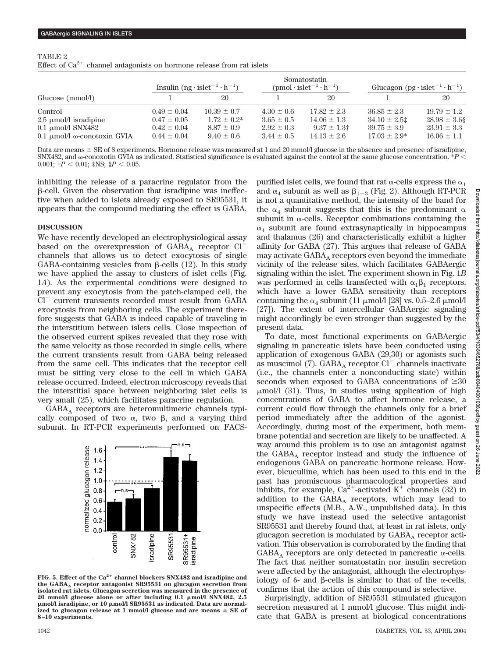| TABLE 2                                                                    |  |  |  |  |
|----------------------------------------------------------------------------|--|--|--|--|
| Effect of $Ca^{2+}$ channel antagonists on hormone release from rat islets |  |  |  |  |

|                                                                                                     | Insulin $(ng \cdot islet^{-1} \cdot h^{-1})$                             |                                                                         | Somatostatin<br>$(pmol \cdot islet^{-1} \cdot h^{-1})$               |                                                                         | Glucagon (pg·islet <sup>-1</sup> ·h <sup>-1</sup> )                        |                                                                            |
|-----------------------------------------------------------------------------------------------------|--------------------------------------------------------------------------|-------------------------------------------------------------------------|----------------------------------------------------------------------|-------------------------------------------------------------------------|----------------------------------------------------------------------------|----------------------------------------------------------------------------|
| Glucose (mmol/l)                                                                                    |                                                                          | 20                                                                      |                                                                      | 20                                                                      |                                                                            | 20                                                                         |
| Control<br>2.5 $\mu$ mol/l isradipine<br>0.1 $\mu$ mol/l SNX482<br>$0.1 \mu$ mol/l ω-conotoxin GVIA | $0.49 \pm 0.04$<br>$0.47 \pm 0.05$<br>$0.42 \pm 0.04$<br>$0.44 \pm 0.04$ | $10.39 \pm 0.7$<br>$1.72 \pm 0.2^*$<br>$8.87 \pm 0.9$<br>$9.40 \pm 0.6$ | $4.30 \pm 0.6$<br>$3.65 \pm 0.5$<br>$2.92 \pm 0.3$<br>$3.44 \pm 0.5$ | $17.82 \pm 2.3$<br>$14.06 \pm 1.3$<br>$9.37 \pm 1.3$<br>$14.13 \pm 2.6$ | $36.85 \pm 2.3$<br>$34.10 \pm 2.5$<br>$39.75 \pm 3.9$<br>$17.03 \pm 2.9^*$ | $19.79 \pm 1.2$<br>$28.98 \pm 3.6$ §<br>$23.91 \pm 3.3$<br>$16.06 \pm 1.1$ |

Data are means  $\pm$  SE of 8 experiments. Hormone release was measured at 1 and 20 mmol/l glucose in the absence and presence of isradipine, SNX482, and  $\omega$ -conoxotin GVIA as indicated. Statistical significance is evaluated against the control at the same glucose concentration.  $^*P$   $<$ 0.001;  $\dagger P < 0.01$ ;  $\ddagger$ NS;  $\S P < 0.05$ .

inhibiting the release of a paracrine regulator from the  $\beta$ -cell. Given the observation that isradipine was ineffective when added to islets already exposed to SR95531, it appears that the compound mediating the effect is GABA.

#### **DISCUSSION**

We have recently developed an electrophysiological assay based on the overexpression of  $GABA_A$  receptor  $Cl^{\sim}$ channels that allows us to detect exocytosis of single GABA-containing vesicles from  $\beta$ -cells (12). In this study we have applied the assay to clusters of islet cells (Fig. 1*A*). As the experimental conditions were designed to prevent any exocytosis from the patch-clamped cell, the Cl<sup>-</sup> current transients recorded must result from GABA exocytosis from neighboring cells. The experiment therefore suggests that GABA is indeed capable of traveling in the interstitium between islets cells. Close inspection of the observed current spikes revealed that they rose with the same velocity as those recorded in single cells, where the current transients result from GABA being released from the same cell. This indicates that the receptor cell must be sitting very close to the cell in which GABA release occurred. Indeed, electron microscopy reveals that the interstitial space between neighboring islet cells is very small (25), which facilitates paracrine regulation.

 $GABA_A$  receptors are heteromultimeric channels typically composed of two  $\alpha$ , two  $\beta$ , and a varying third subunit. In RT-PCR experiments performed on FACS-



**FIG. 5. Effect of the Ca2 channel blockers SNX482 and isradipine and the GABAA receptor antagonist SR95531 on glucagon secretion from isolated rat islets. Glucagon secretion was measured in the presence of 20 mmol/l glucose alone or after including 0.1 mol/l SNX482, 2.5 mol/l isradipine, or 10 mol/l SR95531 as indicated. Data are normal**ized to glucagon release at 1 mmol/l glucose and are means  $\pm$  SE of **8–10 experiments.**

purified islet cells, we found that rat  $\alpha$ -cells express the  $\alpha_1$ and  $\alpha_4$  subunit as well as  $\beta_{1-3}$  (Fig. 2). Although RT-PCR is not a quantitative method, the intensity of the band for the  $\alpha_4$  subunit suggests that this is the predominant  $\alpha$ subunit in  $\alpha$ -cells. Receptor combinations containing the  $\alpha_4$  subunit are found extrasynaptically in hippocampus and thalamus (26) and characteristically exhibit a higher affinity for GABA (27). This argues that release of GABA may activate  $GABA_A$  receptors even beyond the immediate vicinity of the release sites, which facilitates GABAergic signaling within the islet. The experiment shown in Fig. 1*B* was performed in cells transfected with  $\alpha_1 \beta_1$  receptors, which have a lower GABA sensitivity than receptors containing the  $\alpha_4$  subunit (11 µmol/l [28] vs. 0.5–2.6 µmol/l [27]). The extent of intercellular GABAergic signaling might accordingly be even stronger than suggested by the present data.

To date, most functional experiments on GABAergic signaling in pancreatic islets have been conducted using application of exogenous GABA (29,30) or agonists such as muscimol (7).  $GABA_A$  receptor  $CI^-$  channels inactivate (i.e., the channels enter a nonconducting state) within seconds when exposed to GABA concentrations of  $\geq 30$  $\mu$ mol/l (31). Thus, in studies using application of high concentrations of GABA to affect hormone release, a current could flow through the channels only for a brief period immediately after the addition of the agonist. Accordingly, during most of the experiment, both membrane potential and secretion are likely to be unaffected. A way around this problem is to use an antagonist against the  $GABA_A$  receptor instead and study the influence of endogenous GABA on pancreatic hormone release. However, bicuculline, which has been used to this end in the past has promiscuous pharmacological properties and inhibits, for example,  $Ca^{2+}$ -activated K<sup>+</sup> channels (32) in addition to the  $GABA_A$  receptors, which may lead to unspecific effects (M.B., A.W., unpublished data). In this study we have instead used the selective antagonist SR95531 and thereby found that, at least in rat islets, only glucagon secretion is modulated by  $GABA_A$  receptor activation. This observation is corroborated by the finding that  $GABA_A$  receptors are only detected in pancreatic  $\alpha$ -cells. The fact that neither somatostatin nor insulin secretion were affected by the antagonist, although the electrophysiology of  $\delta$ - and  $\beta$ -cells is similar to that of the  $\alpha$ -cells, confirms that the action of this compound is selective.

Surprisingly, addition of SR95531 stimulated glucagon secretion measured at 1 mmol/l glucose. This might indicate that GABA is present at biological concentrations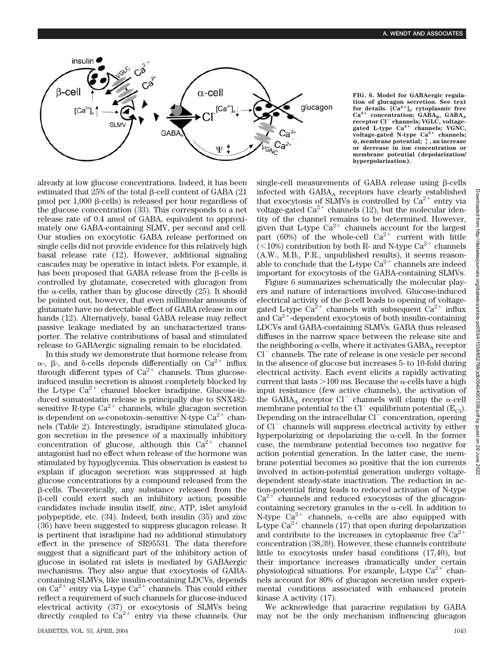

**FIG. 6. Model for GABAergic regulation of glucagon secretion. See text for details. [Ca2]i , cytoplasmic free** Ca<sup>2+</sup> concentration; GABA<sub>R</sub>, GABA<sub>A</sub><br>receptor Cl<sup>-</sup> channels; VGLC, voltage**gated L-type Ca2 channels; VGNC,** voltage-gated N-type Ca<sup>2+</sup> channels; **, membrane potential;** 8**, an increase or decrease in ion concentration or membrane potential (depolarization/ hyperpolarization).**

already at low glucose concentrations. Indeed, it has been estimated that  $25%$  of the total  $\beta$ -cell content of GABA (21) pmol per  $1,000$   $\beta$ -cells) is released per hour regardless of the glucose concentration (33). This corresponds to a net release rate of 0.4 amol of GABA, equivalent to approximately one GABA-containing SLMV, per second and cell. Our studies on exocytotic GABA release performed on single cells did not provide evidence for this relatively high basal release rate (12). However, additional signaling cascades may be operative in intact islets. For example, it has been proposed that GABA release from the  $\beta$ -cells is controlled by glutamate, cosecreted with glucagon from the  $\alpha$ -cells, rather than by glucose directly (25). It should be pointed out, however, that even millimolar amounts of glutamate have no detectable effect of GABA release in our hands (12). Alternatively, basal GABA release may reflect passive leakage mediated by an uncharacterized transporter. The relative contributions of basal and stimulated release to GABAergic signaling remain to be elucidated.

In this study we demonstrate that hormone release from  $\alpha$ -,  $\beta$ -, and  $\delta$ -cells depends differentially on Ca<sup>2+</sup> influx through different types of  $Ca^{2+}$  channels. Thus glucoseinduced insulin secretion is almost completely blocked by the L-type  $Ca^{2+}$  channel blocker isradipine. Glucose-induced somatostatin release is principally due to SNX482 sensitive R-type  $Ca^{2+}$  channels, while glucagon secretion is dependent on  $\omega$ -conotoxin–sensitive N-type Ca<sup>2+</sup> channels (Table 2). Interestingly, isradipine stimulated glucagon secretion in the presence of a maximally inhibitory concentration of glucose, although this  $Ca^{2+}$  channel antagonist had no effect when release of the hormone was stimulated by hypoglycemia. This observation is easiest to explain if glucagon secretion was suppressed at high glucose concentrations by a compound released from the  $\beta$ -cells. Theoretically, any substance released from the  $\beta$ -cell could exert such an inhibitory action; possible candidates include insulin itself, zinc, ATP, islet amyloid polypeptide, etc. (34). Indeed, both insulin (35) and zinc (36) have been suggested to suppress glucagon release. It is pertinent that isradipine had no additional stimulatory effect in the presence of SR95531. The data therefore suggest that a significant part of the inhibitory action of glucose in isolated rat islets is mediated by GABAergic mechanisms. They also argue that exocytosis of GABAcontaining SLMVs, like insulin-containing LDCVs, depends on  $Ca^{2+}$  entry via L-type  $Ca^{2+}$  channels. This could either reflect a requirement of such channels for glucose-induced electrical activity (37) or exocytosis of SLMVs being directly coupled to  $Ca^{2+}$  entry via these channels. Our single-cell measurements of GABA release using  $\beta$ -cells infected with  $GABA_A$  receptors have clearly established that exocytosis of SLMVs is controlled by  $\text{Ca}^{2+}$  entry via voltage-gated  $Ca^{2+}$  channels (12), but the molecular identity of the channel remains to be determined. However, given that L-type  $Ca^{2+}$  channels account for the largest part (60%) of the whole-cell  $Ca^{2+}$  current with little  $\sqrt{(}10\%)$  contribution by both R- and N-type Ca<sup>2+</sup> channels (A.W., M.B., P.R., unpublished results), it seems reasonable to conclude that the L-type  $Ca^{2+}$  channels are indeed important for exocytosis of the GABA-containing SLMVs.

Figure 6 summarizes schematically the molecular players and nature of interactions involved. Glucose-induced electrical activity of the  $\beta$ -cell leads to opening of voltagegated L-type  $Ca^{2+}$  channels with subsequent  $Ca^{2+}$  influx and  $Ca<sup>2+</sup>$ -dependent exocytosis of both insulin-containing LDCVs and GABA-containing SLMVs. GABA thus released diffuses in the narrow space between the release site and the neighboring  $\alpha$ -cells, where it activates  $GABA_{\alpha}$  receptor  $Cl^-$  channels. The rate of release is one vesicle per second in the absence of glucose but increases 5- to 10-fold during electrical activity. Each event elicits a rapidly activating current that lasts  $>100$  ms. Because the  $\alpha$ -cells have a high input resistance (few active channels), the activation of the GABA<sub>A</sub> receptor Cl<sup>-</sup> channels will clamp the  $\alpha$ -cell membrane potential to the Cl<sup>-</sup> equilibrium potential ( $E_{\text{Cl}}$ ). Depending on the intracellular Cl<sup>-</sup> concentration, opening of Cl<sup>-</sup> channels will suppress electrical activity by either hyperpolarizing or depolarizing the  $\alpha$ -cell. In the former case, the membrane potential becomes too negative for action potential generation. In the latter case, the membrane potential becomes so positive that the ion currents involved in action-potential generation undergo voltagedependent steady-state inactivation. The reduction in action-potential firing leads to reduced activation of N-type  $Ca^{2+}$  channels and reduced exocytosis of the glucagoncontaining secretory granules in the  $\alpha$ -cell. In addition to N-type  $Ca^{2+}$  channels,  $\alpha$ -cells are also equipped with L-type  $Ca^{2+}$  channels (17) that open during depolarization and contribute to the increases in cytoplasmic free  $Ca^{2+}$ concentration (38,39). However, these channels contribute little to exocytosis under basal conditions (17,40), but their importance increases dramatically under certain physiological situations. For example, L-type  $Ca^{2+}$  channels account for 80% of glucagon secretion under experimental conditions associated with enhanced protein kinase A activity (17).

We acknowledge that paracrine regulation by GABA may not be the only mechanism influencing glucagon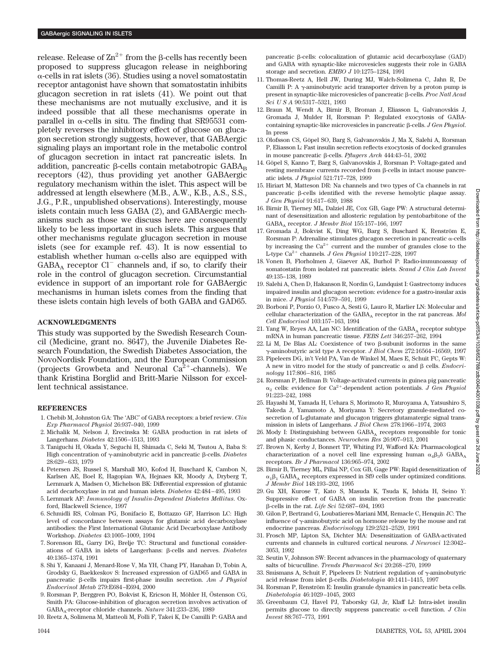release. Release of  $\text{Zn}^{2+}$  from the  $\beta$ -cells has recently been proposed to suppress glucagon release in neighboring  $\alpha$ -cells in rat islets (36). Studies using a novel somatostatin receptor antagonist have shown that somatostatin inhibits glucagon secretion in rat islets (41). We point out that these mechanisms are not mutually exclusive, and it is indeed possible that all these mechanisms operate in parallel in  $\alpha$ -cells in situ. The finding that SR95531 completely reverses the inhibitory effect of glucose on glucagon secretion strongly suggests, however, that GABAergic signaling plays an important role in the metabolic control of glucagon secretion in intact rat pancreatic islets. In addition, pancreatic  $\beta$ -cells contain metabotropic  $GABA_B$ receptors (42), thus providing yet another GABAergic regulatory mechanism within the islet. This aspect will be addressed at length elsewhere (M.B., A.W., K.B., A.S., S.S., J.G., P.R., unpublished observations). Interestingly, mouse islets contain much less GABA (2), and GABAergic mechanisms such as those we discuss here are consequently likely to be less important in such islets. This argues that other mechanisms regulate glucagon secretion in mouse islets (see for example ref. 43). It is now essential to establish whether human  $\alpha$ -cells also are equipped with  $GABA_A$  receptor  $Cl^-$  channels and, if so, to clarify their role in the control of glucagon secretion. Circumstantial evidence in support of an important role for GABAergic mechanisms in human islets comes from the finding that these islets contain high levels of both GABA and GAD65.

# **ACKNOWLEDGMENTS**

This study was supported by the Swedish Research Council (Medicine, grant no. 8647), the Juvenile Diabetes Research Foundation, the Swedish Diabetes Association, the NovoNordisk Foundation, and the European Commission (projects Growbeta and Neuronal  $Ca^{2+}$ -channels). We thank Kristina Borglid and Britt-Marie Nilsson for excellent technical assistance.

# **REFERENCES**

- 1. Chebib M, Johnston GA: The 'ABC' of GABA receptors: a brief review. *Clin Exp Pharmacol Physiol* 26:937–940, 1999
- 2. Michalik M, Nelson J, Erecinska M: GABA production in rat islets of Langerhans. *Diabetes* 42:1506–1513, 1993
- 3. Taniguchi H, Okada Y, Seguchi H, Shimada C, Seki M, Tsutou A, Baba S: High concentration of γ-aminobutyric acid in pancreatic β-cells. *Diabetes* 28:629–633, 1979
- 4. Petersen JS, Russel S, Marshall MO, Kofod H, Buschard K, Cambon N, Karlsen AE, Boel E, Hagopian WA, Hejnaes KR, Moody A, Dryberg T, Lernmark A, Madsen O, Michelson BK: Differential expression of glutamic acid decarboxylase in rat and human islets. *Diabetes* 42:484–495, 1993
- 5. Lernmark AF: *Immunology of Insulin-Dependent Diabetes Mellitus*. Oxford, Blackwell Science, 1997
- 6. Schmidli RS, Colman PG, Bonifacio E, Bottazzo GF, Harrison LC: High level of concordance between assays for glutamic acid decarboxylase antibodies: the First International Glutamic Acid Decarboxylase Antibody Workshop. *Diabetes* 43:1005–1009, 1994
- 7. Sorenson RL, Garry DG, Brelje TC: Structural and functional considerations of GABA in islets of Langerhans: β-cells and nerves. *Diabetes* 40:1365–1374, 1991
- 8. Shi Y, Kanaani J, Menard-Rose V, Ma YH, Chang PY, Hanahan D, Tobin A, Grodsky G, Baekkeskov S: Increased expression of GAD65 and GABA in pancreatic  $\beta$ -cells impairs first-phase insulin secretion. Am J Physiol *Endocrinol Metab* 279:E684–E694, 2000
- 9. Rorsman P, Berggren PO, Bokvist K, Ericson H, Möhler H, Östenson CG, Smith PA: Glucose-inhibition of glucagon secretion involves activation of GABAA-receptor chloride channels. *Nature* 341:233–236, 1989
- 10. Reetz A, Solimena M, Matteoli M, Folli F, Takei K, De Camilli P: GABA and

pancreatic  $\beta$ -cells: colocalization of glutamic acid decarboxylase (GAD) and GABA with synaptic-like microvesicles suggests their role in GABA storage and secretion. *EMBO J* 10:1275–1284, 1991

- 11. Thomas-Reetz A, Hell JW, During MJ, Walch-Solimena C, Jahn R, De Camilli P: A  $\gamma$ -aminobutyric acid transporter driven by a proton pump is present in synaptic-like microvesicles of pancreatic β-cells. Proc Natl Acad *Sci U S A* 90:5317–5321, 1993
- 12. Braun M, Wendt A, Birnir B, Broman J, Eliasson L, Galvanovskis J, Gromada J, Mulder H, Rorsman P: Regulated exocytosis of GABAcontaining synaptic-like microvesicles in pancreatic  $\beta$ -cells. *J Gen Physiol*. In press
- 13. Olofsson CS, Göpel SO, Barg S, Galvanovskis J, Ma X, Salehi A, Rorsman P, Eliasson L: Fast insulin secretion reflects exocytosis of docked granules in mouse pancreatic β-cells. *Pflugers Arch* 444:43-51, 2002
- 14. Göpel S, Kanno T, Barg S, Galvanovskis J, Rorsman P: Voltage-gated and resting membrane currents recorded from  $\beta$ -cells in intact mouse pancreatic islets. *J Physiol* 521:717–728, 1999
- 15. Hiriart M, Matteson DR: Na channels and two types of Ca channels in rat pancreatic  $\beta$ -cells identified with the reverse hemolytic plaque assay. *J Gen Physiol* 91:617–639, 1988
- 16. Birnir B, Tierney ML, Dalziel JE, Cox GB, Gage PW: A structural determinant of desensitization and allosteric regulation by pentobarbitone of the GABAA receptor. *J Membr Biol* 155:157–166, 1997
- 17. Gromada J, Bokvist K, Ding WG, Barg S, Buschard K, Renström E, Rorsman P: Adrenaline stimulates glucagon secretion in pancreatic  $\alpha$ -cells by increasing the  $Ca^{2+}$  current and the number of granules close to the L-type Ca<sup>2+</sup> channels. *J Gen Physiol* 110:217-228, 1997
- 18. Vonen B, Florholmen J, Giaever AK, Burhol P: Radio-immunoassay of somatostatin from isolated rat pancreatic islets. *Scand J Clin Lab Invest* 49:135–138, 1989
- 19. Salehi A, Chen D, Hakanson R, Nordin G, Lundquist I: Gastrectomy induces impaired insulin and glucagon secretion: evidence for a gastro-insular axis in mice. *J Physiol* 514:579–591, 1999
- 20. Borboni P, Porzio O, Fusco A, Sesti G, Lauro R, Marlier LN: Molecular and cellular characterization of the GABA<sub>A</sub> receptor in the rat pancreas. *Mol Cell Endocrinol* 103:157–163, 1994
- 21. Yang W, Reyes AA, Lan NC: Identification of the  $GABA_A$  receptor subtype mRNA in human pancreatic tissue. *FEBS Lett* 346:257–262, 1994
- 22. Li M, De Blas AL: Coexistence of two  $\beta$ -subunit isoforms in the same -aminobutyric acid type A receptor. *J Biol Chem* 272:16564–16569, 1997
- 23. Pipeleers DG, in't Veld PA, Van de Winkel M, Maes E, Schuit FC, Gepts W: A new in vitro model for the study of pancreatic  $\alpha$  and  $\beta$  cells. *Endocrinology* 117:806–816, 1985
- 24. Rorsman P, Hellman B: Voltage-activated currents in guinea pig pancreatic  $\alpha_2$  cells: evidence for Ca<sup>2+</sup>-dependent action potentials. *J Gen Physiol* 91:223–242, 1988
- 25. Hayashi M, Yamada H, Uehara S, Morimoto R, Muroyama A, Yatsushiro S, Takeda J, Yamamoto A, Moriyama Y: Secretory granule-mediated cosecretion of L-glutamate and glucagon triggers glutamatergic signal transmission in islets of Langerhans. *J Biol Chem* 278:1966–1974, 2003
- 26. Mody I: Distinguishing between  $GABA_A$  receptors responsible for tonic and phasic conductances. *Neurochem Res* 26:907–913, 2001
- 27. Brown N, Kerby J, Bonnert TP, Whiting PJ, Wafford KA: Pharmacological characterization of a novel cell line expressing human  $\alpha_4\beta_3\delta$  GABA<sub>A</sub> receptors. *Br J Pharmacol* 136:965–974, 2002
- 28. Birnir B, Tierney ML, Pillai NP, Cox GB, Gage PW: Rapid desensitization of  $\alpha_1\beta_1$  GABA<sub>A</sub> receptors expressed in Sf9 cells under optimized conditions. *J Membr Biol* 148:193–202, 1995
- 29. Gu XH, Kurose T, Kato S, Masuda K, Tsuda K, Ishida H, Seino Y: Suppressive effect of GABA on insulin secretion from the pancreatic -cells in the rat. *Life Sci* 52:687–694, 1993
- 30. Gilon P, Bertrand G, Loubatieres-Mariani MM, Remacle C, Henquin JC: The influence of  $\gamma$ -aminobutyric acid on hormone release by the mouse and rat endocrine pancreas. *Endocrinology* 129:2521–2529, 1991
- 31. Frosch MP, Lipton SA, Dichter MA: Desensitization of GABA-activated currents and channels in cultured cortical neurons. *J Neurosci* 12:3042– 3053, 1992
- 32. Seutin V, Johnson SW: Recent advances in the pharmacology of quaternary salts of bicuculline. *Trends Pharmacol Sci* 20:268–270, 1999
- 33. Smismans A, Schuit F, Pipeleers D: Nutrient regulation of  $\gamma$ -aminobutyric acid release from islet β-cells. *Diabetologia* 40:1411-1415, 1997
- 34. Rorsman P, Renström E: Insulin granule dynamics in pancreatic beta cells. *Diabetologia* 46:1029–1045, 2003
- 35. Greenbaum CJ, Havel PJ, Taborsky GJ, Jr, Klaff LJ: Intra-islet insulin permits glucose to directly suppress pancreatic  $\alpha$ -cell function. *J Clin Invest* 88:767–773, 1991